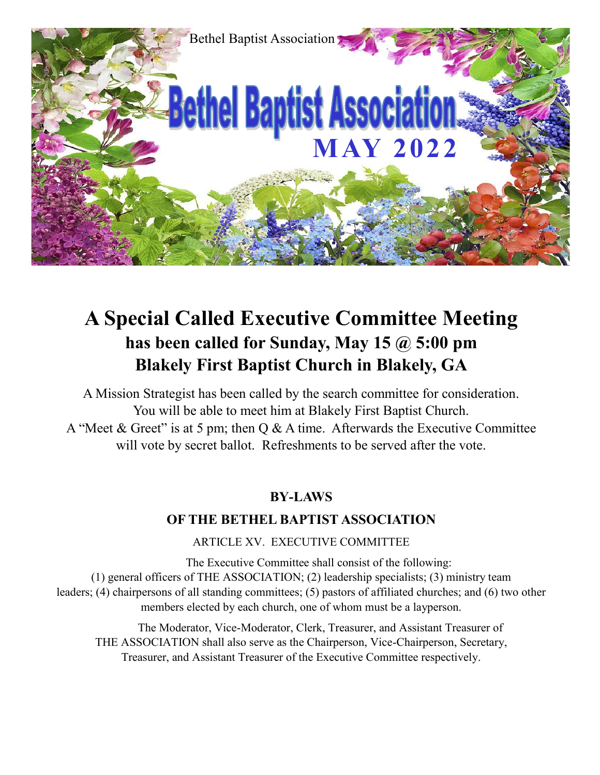

## **A Special Called Executive Committee Meeting has been called for Sunday, May 15 @ 5:00 pm Blakely First Baptist Church in Blakely, GA**

A Mission Strategist has been called by the search committee for consideration. You will be able to meet him at Blakely First Baptist Church. A "Meet & Greet" is at 5 pm; then Q & A time. Afterwards the Executive Committee will vote by secret ballot. Refreshments to be served after the vote.

#### **BY-LAWS**

#### **OF THE BETHEL BAPTIST ASSOCIATION**

ARTICLE XV. EXECUTIVE COMMITTEE

The Executive Committee shall consist of the following: (1) general officers of THE ASSOCIATION; (2) leadership specialists; (3) ministry team leaders; (4) chairpersons of all standing committees; (5) pastors of affiliated churches; and (6) two other members elected by each church, one of whom must be a layperson.

The Moderator, Vice-Moderator, Clerk, Treasurer, and Assistant Treasurer of THE ASSOCIATION shall also serve as the Chairperson, Vice-Chairperson, Secretary, Treasurer, and Assistant Treasurer of the Executive Committee respectively.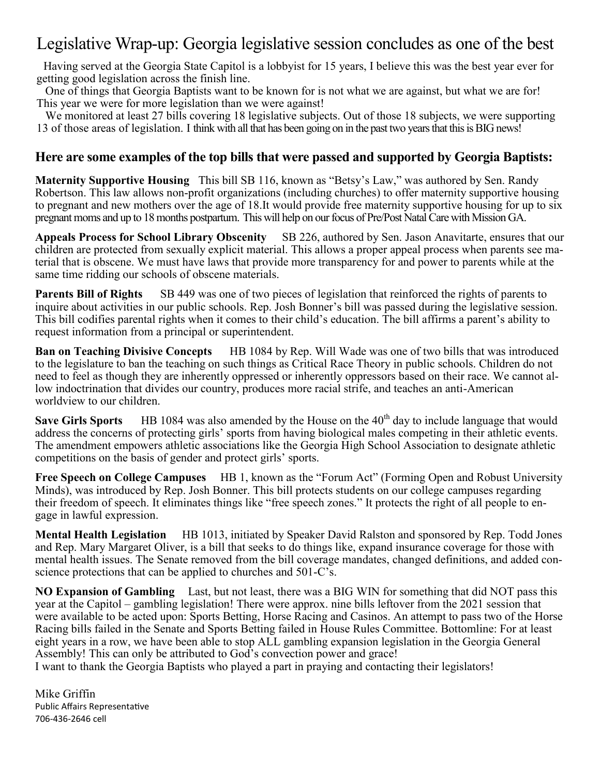### Legislative Wrap-up: Georgia legislative session concludes as one of the best

 Having served at the Georgia State Capitol is a lobbyist for 15 years, I believe this was the best year ever for getting good legislation across the finish line.

 One of things that Georgia Baptists want to be known for is not what we are against, but what we are for! This year we were for more legislation than we were against!

We monitored at least 27 bills covering 18 legislative subjects. Out of those 18 subjects, we were supporting 13 of those areas of legislation. I think with all that has been going on in the past two years that this is BIG news!

#### **Here are some examples of the top bills that were passed and supported by Georgia Baptists:**

**Maternity Supportive Housing** This bill SB 116, known as "Betsy's Law," was authored by Sen. Randy Robertson. This law allows non-profit organizations (including churches) to offer maternity supportive housing to pregnant and new mothers over the age of 18.It would provide free maternity supportive housing for up to six pregnant moms and up to 18 months postpartum. This will help on our focus of Pre/Post Natal Care with Mission GA.

**Appeals Process for School Library Obscenity** SB 226, authored by Sen. Jason Anavitarte, ensures that our children are protected from sexually explicit material. This allows a proper appeal process when parents see material that is obscene. We must have laws that provide more transparency for and power to parents while at the same time ridding our schools of obscene materials.

**Parents Bill of Rights** SB 449 was one of two pieces of legislation that reinforced the rights of parents to inquire about activities in our public schools. Rep. Josh Bonner's bill was passed during the legislative session. This bill codifies parental rights when it comes to their child's education. The bill affirms a parent's ability to request information from a principal or superintendent.

**Ban on Teaching Divisive Concepts** HB 1084 by Rep. Will Wade was one of two bills that was introduced to the legislature to ban the teaching on such things as Critical Race Theory in public schools. Children do not need to feel as though they are inherently oppressed or inherently oppressors based on their race. We cannot allow indoctrination that divides our country, produces more racial strife, and teaches an anti-American worldview to our children.

**Save Girls Sports** HB 1084 was also amended by the House on the 40<sup>th</sup> day to include language that would address the concerns of protecting girls' sports from having biological males competing in their athletic events. The amendment empowers athletic associations like the Georgia High School Association to designate athletic competitions on the basis of gender and protect girls' sports.

**Free Speech on College Campuses** HB 1, known as the "Forum Act" (Forming Open and Robust University Minds), was introduced by Rep. Josh Bonner. This bill protects students on our college campuses regarding their freedom of speech. It eliminates things like "free speech zones." It protects the right of all people to engage in lawful expression.

**Mental Health Legislation** HB 1013, initiated by Speaker David Ralston and sponsored by Rep. Todd Jones and Rep. Mary Margaret Oliver, is a bill that seeks to do things like, expand insurance coverage for those with mental health issues. The Senate removed from the bill coverage mandates, changed definitions, and added conscience protections that can be applied to churches and 501-C's.

**NO Expansion of Gambling** Last, but not least, there was a BIG WIN for something that did NOT pass this year at the Capitol – gambling legislation! There were approx. nine bills leftover from the 2021 session that were available to be acted upon: Sports Betting, Horse Racing and Casinos. An attempt to pass two of the Horse Racing bills failed in the Senate and Sports Betting failed in House Rules Committee. Bottomline: For at least eight years in a row, we have been able to stop ALL gambling expansion legislation in the Georgia General Assembly! This can only be attributed to God's convection power and grace!

I want to thank the Georgia Baptists who played a part in praying and contacting their legislators!

Mike Griffin Public Affairs Representative 706-436-2646 cell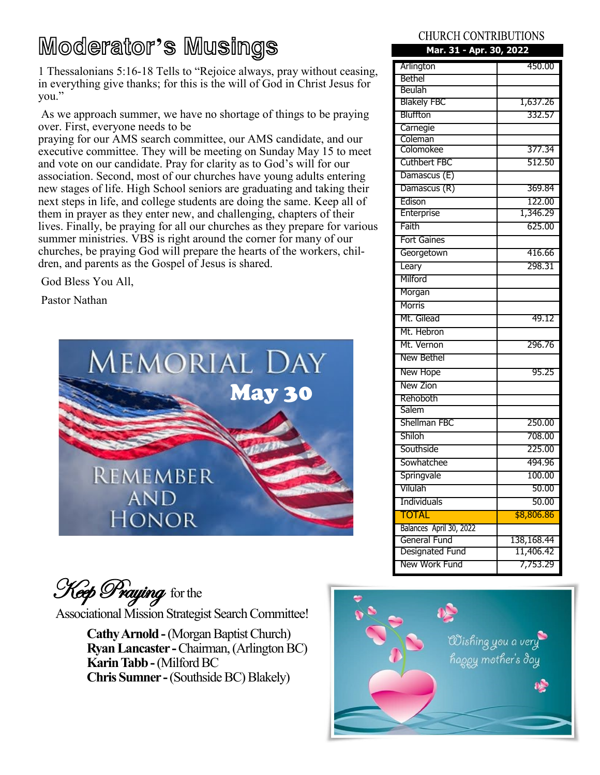# Moderator**'**s Musings

1 Thessalonians 5:16-18 Tells to "Rejoice always, pray without ceasing, in everything give thanks; for this is the will of God in Christ Jesus for you."

As we approach summer, we have no shortage of things to be praying over. First, everyone needs to be

praying for our AMS search committee, our AMS candidate, and our executive committee. They will be meeting on Sunday May 15 to meet and vote on our candidate. Pray for clarity as to God's will for our association. Second, most of our churches have young adults entering new stages of life. High School seniors are graduating and taking their next steps in life, and college students are doing the same. Keep all of them in prayer as they enter new, and challenging, chapters of their lives. Finally, be praying for all our churches as they prepare for various summer ministries. VBS is right around the corner for many of our churches, be praying God will prepare the hearts of the workers, children, and parents as the Gospel of Jesus is shared.

God Bless You All,

Pastor Nathan



Keep Praying for the

Associational Mission Strategist Search Committee!

**Cathy Arnold -**(Morgan Baptist Church) **Ryan Lancaster -**Chairman, (Arlington BC) **Karin Tabb -**(Milford BC **Chris Sumner -**(Southside BC) Blakely)

#### **CHURCH CONTRIBUTIONS**

| Mar. 31 - Apr. 30, 2022 |            |
|-------------------------|------------|
| Arlington               | 450.00     |
| Bethel                  |            |
| Beulah                  |            |
| <b>Blakely FBC</b>      | 1,637.26   |
| Bluffton                | 332.57     |
| Carnegie                |            |
| Coleman<br>Colomokee    | 377.34     |
| <b>Cuthbert FBC</b>     |            |
|                         | 512.50     |
| Damascus (E)            |            |
| Damascus (R)            | 369.84     |
| Edison                  | 122.00     |
| Enterprise              | 1,346.29   |
| Faith                   | 625.00     |
| <b>Fort Gaines</b>      |            |
| Georgetown              | 416.66     |
| Leary                   | 298.31     |
| Milford                 |            |
| Morgan                  |            |
| Morris                  |            |
| Mt. Gilead              | 49.12      |
| Mt. Hebron              |            |
| Mt. Vernon              | 296.76     |
| New Bethel              |            |
| New Hope                | 95.25      |
| New Zion                |            |
| Rehoboth                |            |
| Salem                   |            |
| Shellman FBC            | 250.00     |
| Shiloh                  | 708.00     |
| Southside               | 225.00     |
| Sowhatchee              | 494.96     |
| Springvale              | 100.00     |
| Vilulah                 | 50.00      |
| Individuals             | 50.00      |
| <b>TOTAL</b>            | \$8,806.86 |
| Balances April 30, 2022 |            |
| General Fund            | 138,168.44 |
| Designated Fund         | 11,406.42  |
| New Work Fund           | 7,753.29   |